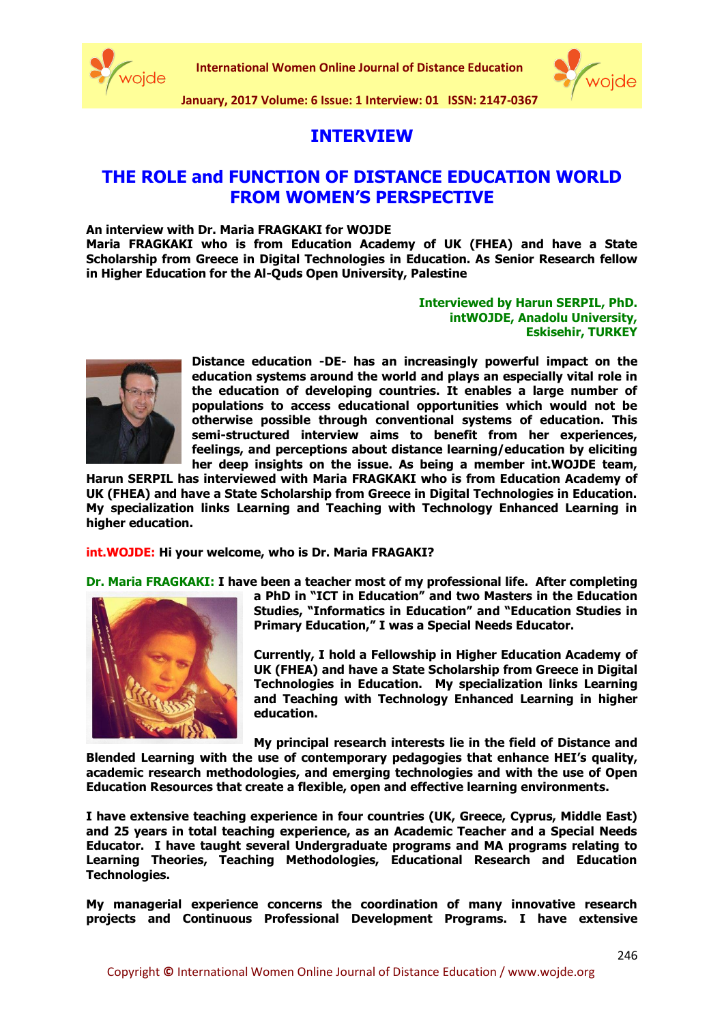



# **INTERVIEW**

## **THE ROLE and FUNCTION OF DISTANCE EDUCATION WORLD FROM WOMEN'S PERSPECTIVE**

## **An interview with Dr. Maria FRAGKAKI for WOJDE**

**Maria FRAGKAKI who is from Education Academy of UK (FHEA) and have a State Scholarship from Greece in Digital Technologies in Education. As Senior Research fellow in Higher Education for the Al-Quds Open University, Palestine**

## **Interviewed by Harun SERPIL, PhD. intWOJDE, Anadolu University, Eskisehir, TURKEY**



**Distance education -DE- has an increasingly powerful impact on the education systems around the world and plays an especially vital role in the education of developing countries. It enables a large number of populations to access educational opportunities which would not be otherwise possible through conventional systems of education. This semi-structured interview aims to benefit from her experiences, feelings, and perceptions about distance learning/education by eliciting her deep insights on the issue. As being a member int.WOJDE team,** 

**Harun SERPIL has interviewed with Maria FRAGKAKI who is from Education Academy of UK (FHEA) and have a State Scholarship from Greece in Digital Technologies in Education. My specialization links Learning and Teaching with Technology Enhanced Learning in higher education.** 

**int.WOJDE: Hi your welcome, who is Dr. Maria FRAGAKI?**

**Dr. Maria FRAGKAKI: I have been a teacher most of my professional life. After completing** 



**a PhD in "ICT in Education" and two Masters in the Education Studies, "Informatics in Education" and "Education Studies in Primary Education," I was a Special Needs Educator.**

**Currently, I hold a Fellowship in Higher Education Academy of UK (FHEA) and have a State Scholarship from Greece in Digital Technologies in Education. My specialization links Learning and Teaching with Technology Enhanced Learning in higher education.** 

**My principal research interests lie in the field of Distance and** 

**Blended Learning with the use of contemporary pedagogies that enhance HEI's quality, academic research methodologies, and emerging technologies and with the use of Open Education Resources that create a flexible, open and effective learning environments.** 

**I have extensive teaching experience in four countries (UK, Greece, Cyprus, Middle East) and 25 years in total teaching experience, as an Academic Teacher and a Special Needs Educator. I have taught several Undergraduate programs and MA programs relating to Learning Theories, Teaching Methodologies, Educational Research and Education Technologies.** 

**My managerial experience concerns the coordination of many innovative research projects and Continuous Professional Development Programs. I have extensive**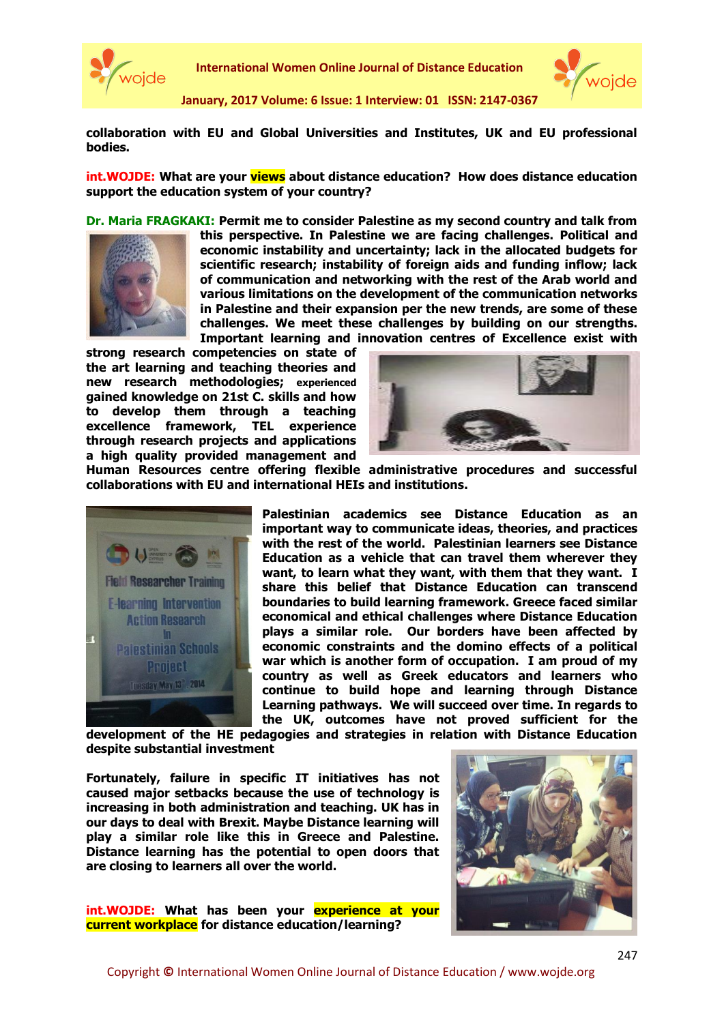

**International Women Online Journal of Distance Education**



**January, 2017 Volume: 6 Issue: 1 Interview: 01 ISSN: 2147-0367**

**collaboration with EU and Global Universities and Institutes, UK and EU professional bodies.**

**int.WOJDE: What are your views about distance education? How does distance education support the education system of your country?** 

**Dr. Maria FRAGKAKI: Permit me to consider Palestine as my second country and talk from** 



**this perspective. In Palestine we are facing challenges. Political and economic instability and uncertainty; lack in the allocated budgets for scientific research; instability of foreign aids and funding inflow; lack of communication and networking with the rest of the Arab world and various limitations on the development of the communication networks in Palestine and their expansion per the new trends, are some of these challenges. We meet these challenges by building on our strengths. Important learning and innovation centres of Excellence exist with** 

**strong research competencies on state of the art learning and teaching theories and new research methodologies; experienced gained knowledge on 21st C. skills and how to develop them through a teaching excellence framework, TEL experience through research projects and applications a high quality provided management and** 



**Human Resources centre offering flexible administrative procedures and successful collaborations with EU and international HEIs and institutions.** 



**Palestinian academics see Distance Education as an important way to communicate ideas, theories, and practices with the rest of the world. Palestinian learners see Distance Education as a vehicle that can travel them wherever they want, to learn what they want, with them that they want. I share this belief that Distance Education can transcend boundaries to build learning framework. Greece faced similar economical and ethical challenges where Distance Education plays a similar role. Our borders have been affected by economic constraints and the domino effects of a political war which is another form of occupation. I am proud of my country as well as Greek educators and learners who continue to build hope and learning through Distance Learning pathways. We will succeed over time. In regards to the UK, outcomes have not proved sufficient for the** 

**development of the HE pedagogies and strategies in relation with Distance Education despite substantial investment** 

**Fortunately, failure in specific IT initiatives has not caused major setbacks because the use of technology is increasing in both administration and teaching. UK has in our days to deal with Brexit. Maybe Distance learning will play a similar role like this in Greece and Palestine. Distance learning has the potential to open doors that are closing to learners all over the world.**

**int.WOJDE: What has been your experience at your current workplace for distance education/learning?**

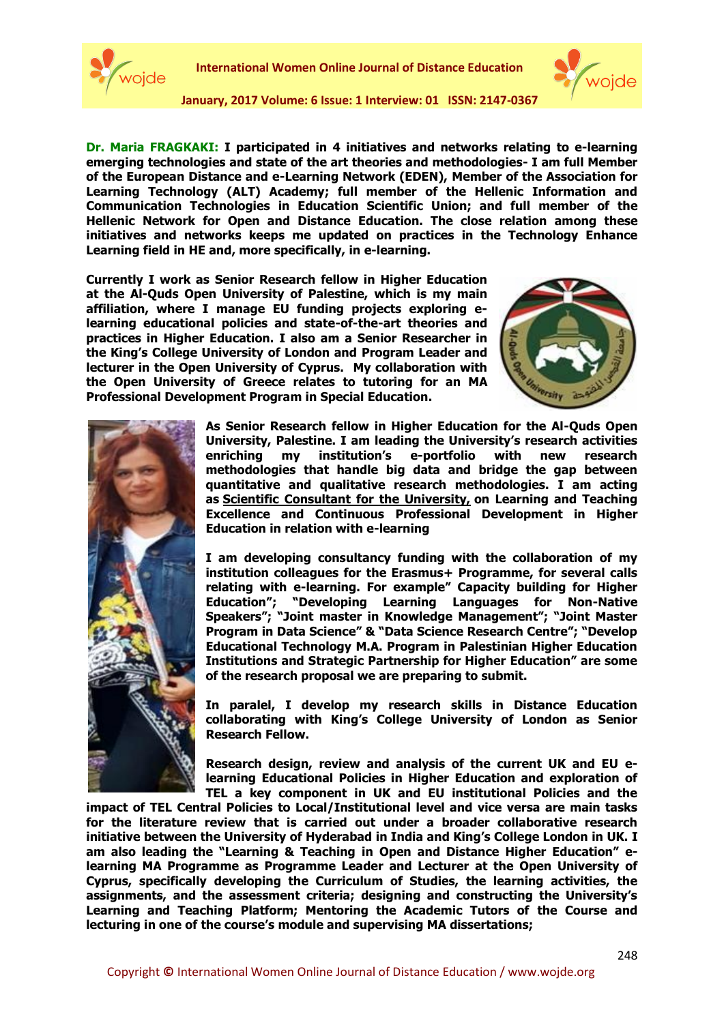



**Dr. Maria FRAGKAKI: I participated in 4 initiatives and networks relating to e-learning emerging technologies and state of the art theories and methodologies- I am full Member of the European Distance and e-Learning Network (EDEN), Member of the Association for Learning Technology (ALT) Academy; full member of the Hellenic Information and Communication Technologies in Education Scientific Union; and full member of the Hellenic Network for Open and Distance Education. The close relation among these initiatives and networks keeps me updated on practices in the Technology Enhance Learning field in HE and, more specifically, in e-learning.**

**Currently I work as Senior Research fellow in Higher Education at the Al-Quds Open University of Palestine, which is my main affiliation, where I manage EU funding projects exploring elearning educational policies and state-of-the-art theories and practices in Higher Education. I also am a Senior Researcher in the King's College University of London and Program Leader and lecturer in the Open University of Cyprus. My collaboration with the Open University of Greece relates to tutoring for an MA Professional Development Program in Special Education.**





**As Senior Research fellow in Higher Education for the Al-Quds Open University, Palestine. I am leading the University's research activities enriching my institution's e-portfolio with new research methodologies that handle big data and bridge the gap between quantitative and qualitative research methodologies. I am acting as Scientific Consultant for the University, on Learning and Teaching Excellence and Continuous Professional Development in Higher Education in relation with e-learning**

**I am developing consultancy funding with the collaboration of my institution colleagues for the Erasmus+ Programme, for several calls relating with e-learning. For example" Capacity building for Higher Education"; "Developing Learning Languages for Non-Native Speakers"; "Joint master in Knowledge Management"; "Joint Master Program in Data Science" & "Data Science Research Centre"; "Develop Educational Technology M.A. Program in Palestinian Higher Education Institutions and Strategic Partnership for Higher Education" are some of the research proposal we are preparing to submit.** 

**In paralel, I develop my research skills in Distance Education collaborating with King's College University of London as Senior Research Fellow.**

**Research design, review and analysis of the current UK and EU elearning Educational Policies in Higher Education and exploration of TEL a key component in UK and EU institutional Policies and the** 

**impact of TEL Central Policies to Local/Institutional level and vice versa are main tasks for the literature review that is carried out under a broader collaborative research initiative between the University of Hyderabad in India and King's College London in UK. I am also leading the "Learning & Teaching in Open and Distance Higher Education" elearning MA Programme as Programme Leader and Lecturer at the Open University of Cyprus, specifically developing the Curriculum of Studies, the learning activities, the assignments, and the assessment criteria; designing and constructing the University's Learning and Teaching Platform; Mentoring the Academic Tutors of the Course and lecturing in one of the course's module and supervising MA dissertations;**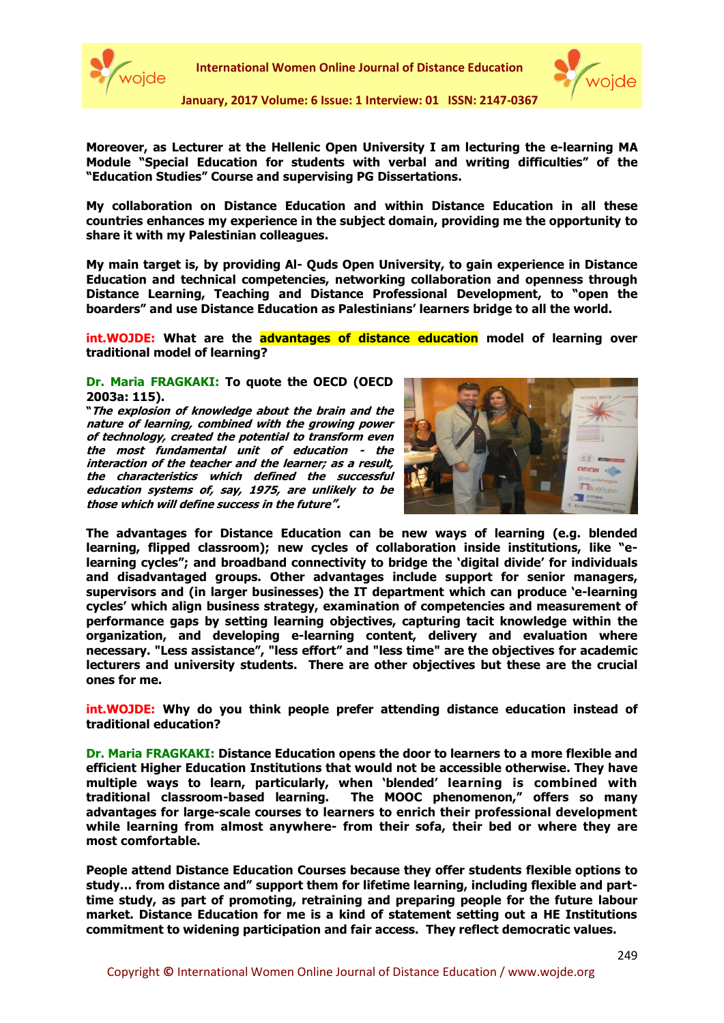



**Moreover, as Lecturer at the Hellenic Open University I am lecturing the e-learning MA Module "Special Education for students with verbal and writing difficulties" of the "Education Studies" Course and supervising PG Dissertations.**

**My collaboration on Distance Education and within Distance Education in all these countries enhances my experience in the subject domain, providing me the opportunity to share it with my Palestinian colleagues.** 

**My main target is, by providing Al- Quds Open University, to gain experience in Distance Education and technical competencies, networking collaboration and openness through Distance Learning, Teaching and Distance Professional Development, to "open the boarders" and use Distance Education as Palestinians' learners bridge to all the world.**

**int.WOJDE: What are the advantages of distance education model of learning over traditional model of learning?** 

#### **Dr. Maria FRAGKAKI: To quote the OECD (OECD 2003a: 115).**

**"The explosion of knowledge about the brain and the nature of learning, combined with the growing power of technology, created the potential to transform even the most fundamental unit of education - the interaction of the teacher and the learner; as a result, the characteristics which defined the successful education systems of, say, 1975, are unlikely to be those which will define success in the future".**



**The advantages for Distance Education can be new ways of learning (e.g. blended learning, flipped classroom); new cycles of collaboration inside institutions, like "elearning cycles"; and broadband connectivity to bridge the 'digital divide' for individuals and disadvantaged groups. Other advantages include support for senior managers, supervisors and (in larger businesses) the IT department which can produce 'e-learning cycles' which align business strategy, examination of competencies and measurement of performance gaps by setting learning objectives, capturing tacit knowledge within the organization, and developing e-learning content, delivery and evaluation where necessary. "Less assistance", "less effort" and "less time" are the objectives for academic lecturers and university students. There are other objectives but these are the crucial ones for me.**

**int.WOJDE: Why do you think people prefer attending distance education instead of traditional education?** 

**Dr. Maria FRAGKAKI: Distance Education opens the door to learners to a more flexible and efficient Higher Education Institutions that would not be accessible otherwise. They have multiple ways to learn, particularly, when 'blended' learning is combined with traditional classroom-based learning. The MOOC phenomenon," offers so many advantages for large-scale courses to learners to enrich their professional development while learning from almost anywhere- from their sofa, their bed or where they are most comfortable.**

**People attend Distance Education Courses because they offer students flexible options to study… from distance and" support them for lifetime learning, including flexible and parttime study, as part of promoting, retraining and preparing people for the future labour market. Distance Education for me is a kind of statement setting out a HE Institutions commitment to widening participation and fair access. They reflect democratic values.**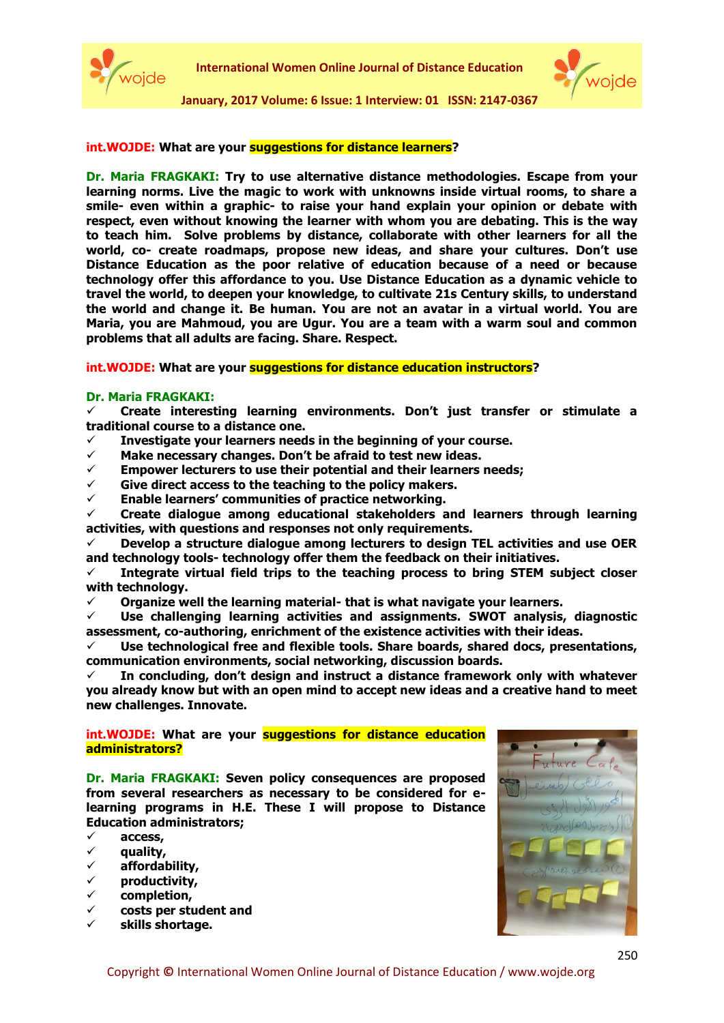



#### **int.WOJDE: What are your suggestions for distance learners?**

**Dr. Maria FRAGKAKI: Try to use alternative distance methodologies. Escape from your learning norms. Live the magic to work with unknowns inside virtual rooms, to share a smile- even within a graphic- to raise your hand explain your opinion or debate with respect, even without knowing the learner with whom you are debating. This is the way to teach him. Solve problems by distance, collaborate with other learners for all the world, co- create roadmaps, propose new ideas, and share your cultures. Don't use Distance Education as the poor relative of education because of a need or because technology offer this affordance to you. Use Distance Education as a dynamic vehicle to travel the world, to deepen your knowledge, to cultivate 21s Century skills, to understand the world and change it. Be human. You are not an avatar in a virtual world. You are Maria, you are Mahmoud, you are Ugur. You are a team with a warm soul and common problems that all adults are facing. Share. Respect.** 

#### **int.WOJDE:** What are your **suggestions for distance education instructors**?

#### **Dr. Maria FRAGKAKI:**

 **Create interesting learning environments. Don't just transfer or stimulate a traditional course to a distance one.**

- **Investigate your learners needs in the beginning of your course.**
- **Make necessary changes. Don't be afraid to test new ideas.**
- **Empower lecturers to use their potential and their learners needs;**
- **Give direct access to the teaching to the policy makers.**
- **Enable learners' communities of practice networking.**

 **Create dialogue among educational stakeholders and learners through learning activities, with questions and responses not only requirements.**

 **Develop a structure dialogue among lecturers to design TEL activities and use OER and technology tools- technology offer them the feedback on their initiatives.**

 **Integrate virtual field trips to the teaching process to bring STEM subject closer with technology.**

**Organize well the learning material- that is what navigate your learners.** 

 **Use challenging learning activities and assignments. SWOT analysis, diagnostic assessment, co-authoring, enrichment of the existence activities with their ideas.**

 **Use technological free and flexible tools. Share boards, shared docs, presentations, communication environments, social networking, discussion boards.** 

 **In concluding, don't design and instruct a distance framework only with whatever you already know but with an open mind to accept new ideas and a creative hand to meet new challenges. Innovate.**

## **int.WOJDE: What are your suggestions for distance education administrators?**

**Dr. Maria FRAGKAKI: Seven policy consequences are proposed from several researchers as necessary to be considered for elearning programs in H.E. These I will propose to Distance Education administrators;** 

**access,** 

- **quality,**
- **affordability,**
- **productivity,**
- **completion,**
- **costs per student and**
- **skills shortage.**

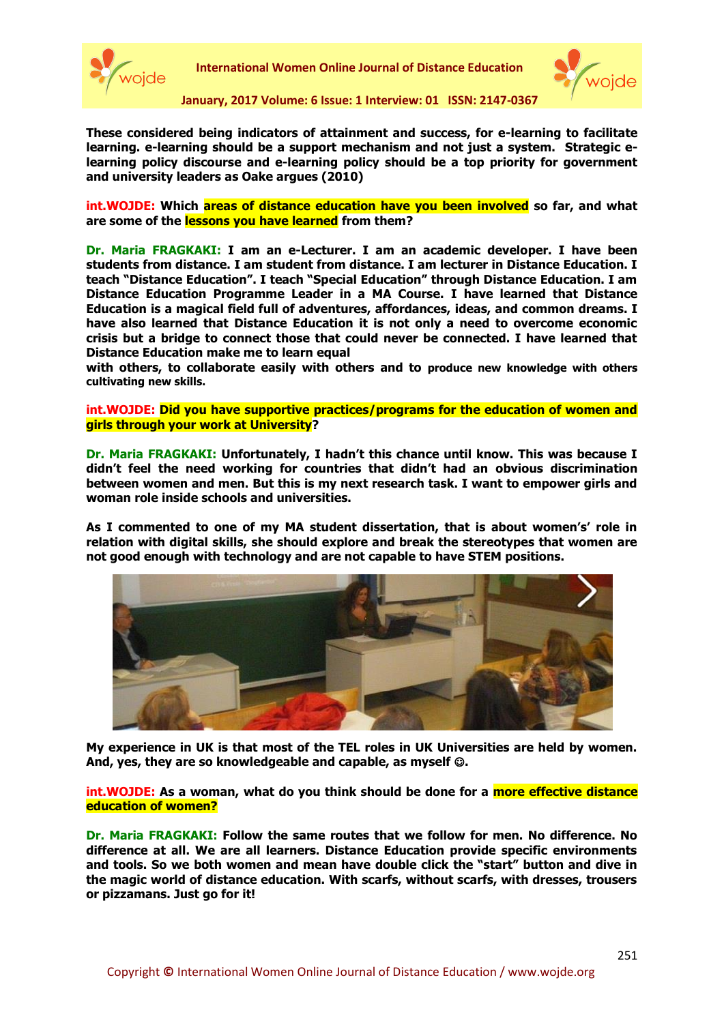



**These considered being indicators of attainment and success, for e-learning to facilitate learning. e-learning should be a support mechanism and not just a system. Strategic elearning policy discourse and e-learning policy should be a top priority for government and university leaders as Oake argues (2010)**

**int.WOJDE: Which areas of distance education have you been involved so far, and what are some of the lessons you have learned from them?** 

**Dr. Maria FRAGKAKI: I am an e-Lecturer. I am an academic developer. I have been students from distance. I am student from distance. I am lecturer in Distance Education. I teach "Distance Education". I teach "Special Education" through Distance Education. I am Distance Education Programme Leader in a MA Course. I have learned that Distance Education is a magical field full of adventures, affordances, ideas, and common dreams. I have also learned that Distance Education it is not only a need to overcome economic crisis but a bridge to connect those that could never be connected. I have learned that Distance Education make me to learn equal** 

**with others, to collaborate easily with others and to produce new knowledge with others cultivating new skills.** 

**int.WOJDE: Did you have supportive practices/programs for the education of women and girls through your work at University?**

**Dr. Maria FRAGKAKI: Unfortunately, I hadn't this chance until know. This was because I didn't feel the need working for countries that didn't had an obvious discrimination between women and men. But this is my next research task. I want to empower girls and woman role inside schools and universities.** 

**As I commented to one of my MA student dissertation, that is about women's' role in relation with digital skills, she should explore and break the stereotypes that women are not good enough with technology and are not capable to have STEM positions.** 



**My experience in UK is that most of the TEL roles in UK Universities are held by women.**  And, yes, they are so knowledgeable and capable, as myself  $\odot$ .

**int.WOJDE: As a woman, what do you think should be done for a more effective distance education of women?**

**Dr. Maria FRAGKAKI: Follow the same routes that we follow for men. No difference. No difference at all. We are all learners. Distance Education provide specific environments and tools. So we both women and mean have double click the "start" button and dive in the magic world of distance education. With scarfs, without scarfs, with dresses, trousers or pizzamans. Just go for it!**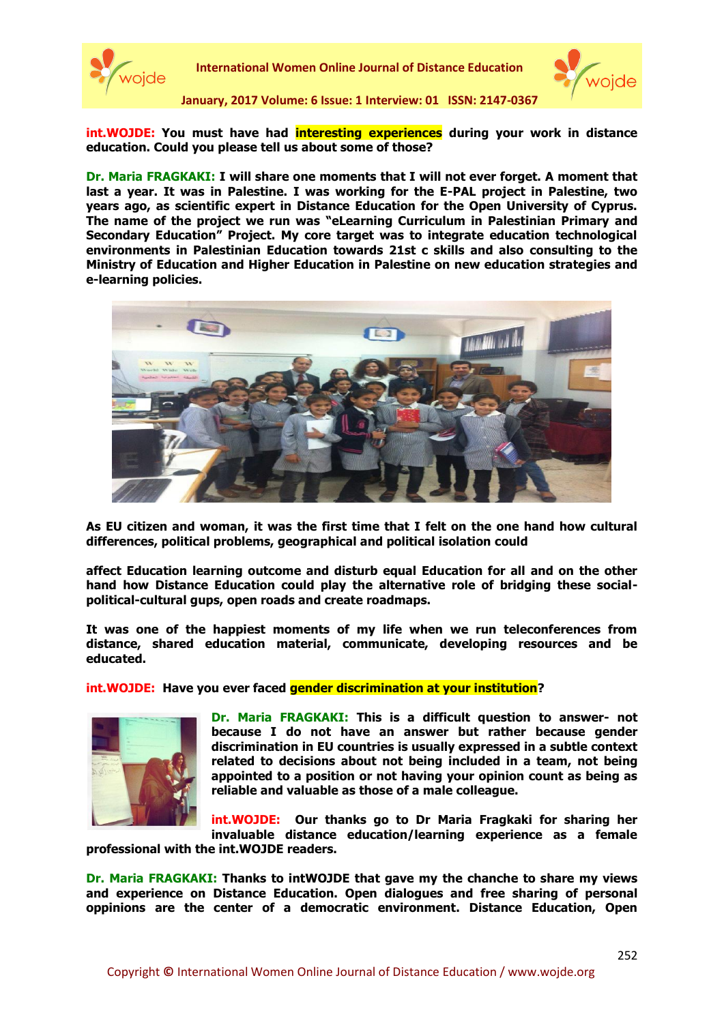

**International Women Online Journal of Distance Education**



**January, 2017 Volume: 6 Issue: 1 Interview: 01 ISSN: 2147-0367**

**int.WOJDE: You must have had interesting experiences during your work in distance education. Could you please tell us about some of those?**

**Dr. Maria FRAGKAKI: I will share one moments that I will not ever forget. A moment that last a year. It was in Palestine. I was working for the E-PAL project in Palestine, two years ago, as scientific expert in Distance Education for the Open University of Cyprus. The name of the project we run was "eLearning Curriculum in Palestinian Primary and Secondary Education" Project. My core target was to integrate education technological environments in Palestinian Education towards 21st c skills and also consulting to the Ministry of Education and Higher Education in Palestine on new education strategies and e-learning policies.**



**As EU citizen and woman, it was the first time that I felt on the one hand how cultural differences, political problems, geographical and political isolation could** 

**affect Education learning outcome and disturb equal Education for all and on the other hand how Distance Education could play the alternative role of bridging these socialpolitical-cultural gups, open roads and create roadmaps.** 

**It was one of the happiest moments of my life when we run teleconferences from distance, shared education material, communicate, developing resources and be educated.**

**int.WOJDE: Have you ever faced gender discrimination at your institution?**



**Dr. Maria FRAGKAKI: This is a difficult question to answer- not because I do not have an answer but rather because gender discrimination in EU countries is usually expressed in a subtle context related to decisions about not being included in a team, not being appointed to a position or not having your opinion count as being as reliable and valuable as those of a male colleague.**

**int.WOJDE: Our thanks go to Dr Maria Fragkaki for sharing her invaluable distance education/learning experience as a female** 

**professional with the int.WOJDE readers.** 

**Dr. Maria FRAGKAKI: Thanks to intWOJDE that gave my the chanche to share my views and experience on Distance Education. Open dialogues and free sharing of personal oppinions are the center of a democratic environment. Distance Education, Open**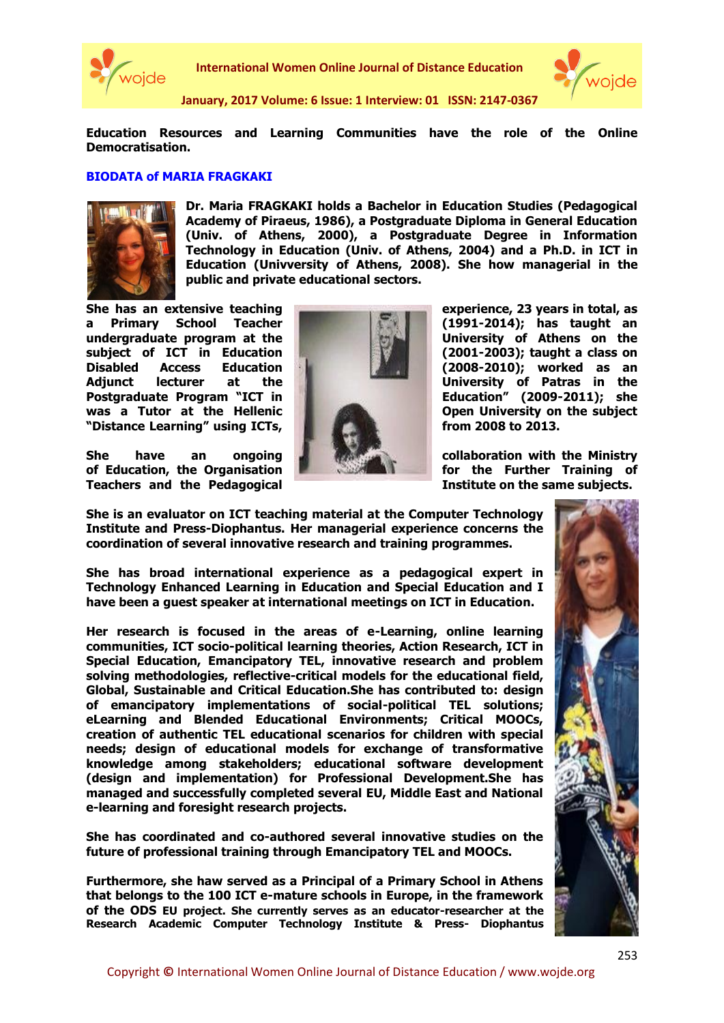

**International Women Online Journal of Distance Education**



**January, 2017 Volume: 6 Issue: 1 Interview: 01 ISSN: 2147-0367**

**Education Resources and Learning Communities have the role of the Online Democratisation.**

## **BIODATA of MARIA FRAGKAKI**



**Dr. Maria FRAGKAKI holds a Bachelor in Education Studies (Pedagogical Academy of Piraeus, 1986), a Postgraduate Diploma in General Education (Univ. of Athens, 2000), a Postgraduate Degree in Information Technology in Education (Univ. of Athens, 2004) and a Ph.D. in ICT in Education (Univversity of Athens, 2008). She how managerial in the public and private educational sectors.** 

**a Primary School Teacher (1991-2014); has taught an undergraduate program at the University of Athens on the subject of ICT in Education (2001-2003); taught a class on Disabled Access Education (2008-2010); worked as an**  Adjunct lecturer at the **University of Patras in the Postgraduate Program "ICT in Education"** (2009-2011); she **was a Tutor at the Hellenic Open University on the subject "Distance Learning" using ICTs, from 2008 to 2013.**

**She have an ongoing the state of collaboration with the Ministry of Education, the Organisation for the Further Training of Teachers and the Pedagogical Institute on the same subjects.** 



**She has an extensive teaching experience, 23 years in total, as** 

**She is an evaluator on ICT teaching material at the Computer Technology Institute and Press-Diophantus. Her managerial experience concerns the coordination of several innovative research and training programmes.** 

**She has broad international experience as a pedagogical expert in Technology Enhanced Learning in Education and Special Education and I have been a guest speaker at international meetings on ICT in Education.** 

**Her research is focused in the areas of e-Learning, online learning communities, ICT socio-political learning theories, Action Research, ICT in Special Education, Emancipatory TEL, innovative research and problem solving methodologies, reflective-critical models for the educational field, Global, Sustainable and Critical Education.She has contributed to: design of emancipatory implementations of social-political TEL solutions; eLearning and Blended Educational Environments; Critical MOOCs, creation of authentic TEL educational scenarios for children with special needs; design of educational models for exchange of transformative knowledge among stakeholders; educational software development (design and implementation) for Professional Development.She has managed and successfully completed several EU, Middle East and National e-learning and foresight research projects.** 

**She has coordinated and co-authored several innovative studies on the future of professional training through Emancipatory TEL and MOOCs.**

**Furthermore, she haw served as a Principal of a Primary School in Athens that belongs to the 100 ICT e-mature schools in Europe, in the framework of the ODS EU project. She currently serves as an educator-researcher at the Research Academic Computer Technology Institute & Press- Diophantus**